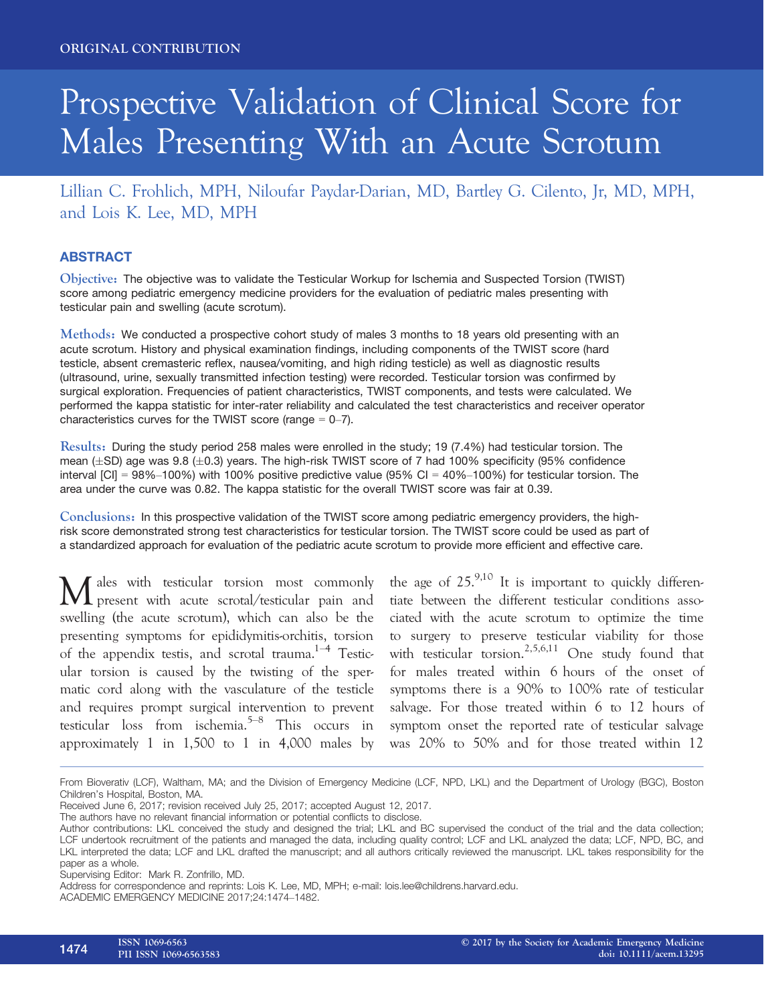# Prospective Validation of Clinical Score for Males Presenting With an Acute Scrotum

Lillian C. Frohlich, MPH, Niloufar Paydar-Darian, MD, Bartley G. Cilento, Jr, MD, MPH, and Lois K. Lee, MD, MPH

# ABSTRACT

Objective: The objective was to validate the Testicular Workup for Ischemia and Suspected Torsion (TWIST) score among pediatric emergency medicine providers for the evaluation of pediatric males presenting with testicular pain and swelling (acute scrotum).

Methods: We conducted a prospective cohort study of males 3 months to 18 years old presenting with an acute scrotum. History and physical examination findings, including components of the TWIST score (hard testicle, absent cremasteric reflex, nausea/vomiting, and high riding testicle) as well as diagnostic results (ultrasound, urine, sexually transmitted infection testing) were recorded. Testicular torsion was confirmed by surgical exploration. Frequencies of patient characteristics, TWIST components, and tests were calculated. We performed the kappa statistic for inter-rater reliability and calculated the test characteristics and receiver operator characteristics curves for the TWIST score (range  $= 0-7$ ).

Results: During the study period 258 males were enrolled in the study; 19 (7.4%) had testicular torsion. The mean ( $\pm$ SD) age was 9.8 ( $\pm$ 0.3) years. The high-risk TWIST score of 7 had 100% specificity (95% confidence interval  $|C| = 98\% - 100\%$ ) with 100% positive predictive value (95% CI = 40%-100%) for testicular torsion. The area under the curve was 0.82. The kappa statistic for the overall TWIST score was fair at 0.39.

Conclusions: In this prospective validation of the TWIST score among pediatric emergency providers, the highrisk score demonstrated strong test characteristics for testicular torsion. The TWIST score could be used as part of a standardized approach for evaluation of the pediatric acute scrotum to provide more efficient and effective care.

M ales with testicular torsion most commonly present with acute scrotal/testicular pain and swelling (the acute scrotum), which can also be the presenting symptoms for epididymitis-orchitis, torsion of the appendix testis, and scrotal trauma.<sup>1–4</sup> Testicular torsion is caused by the twisting of the spermatic cord along with the vasculature of the testicle and requires prompt surgical intervention to prevent testicular loss from ischemia.5–<sup>8</sup> This occurs in approximately 1 in 1,500 to 1 in 4,000 males by

the age of  $25^{9,10}$  It is important to quickly differentiate between the different testicular conditions associated with the acute scrotum to optimize the time to surgery to preserve testicular viability for those with testicular torsion.<sup>2,5,6,11</sup> One study found that for males treated within 6 hours of the onset of symptoms there is a 90% to 100% rate of testicular salvage. For those treated within 6 to 12 hours of symptom onset the reported rate of testicular salvage was 20% to 50% and for those treated within 12

From Bioverativ (LCF), Waltham, MA; and the Division of Emergency Medicine (LCF, NPD, LKL) and the Department of Urology (BGC), Boston Children's Hospital, Boston, MA.

Received June 6, 2017; revision received July 25, 2017; accepted August 12, 2017.

The authors have no relevant financial information or potential conflicts to disclose.

Author contributions: LKL conceived the study and designed the trial; LKL and BC supervised the conduct of the trial and the data collection; LCF undertook recruitment of the patients and managed the data, including quality control; LCF and LKL analyzed the data; LCF, NPD, BC, and LKL interpreted the data; LCF and LKL drafted the manuscript; and all authors critically reviewed the manuscript. LKL takes responsibility for the paper as a whole.

Supervising Editor: Mark R. Zonfrillo, MD.

Address for correspondence and reprints: Lois K. Lee, MD, MPH; e-mail: lois.lee@childrens.harvard.edu.

ACADEMIC EMERGENCY MEDICINE 2017;24:1474–1482.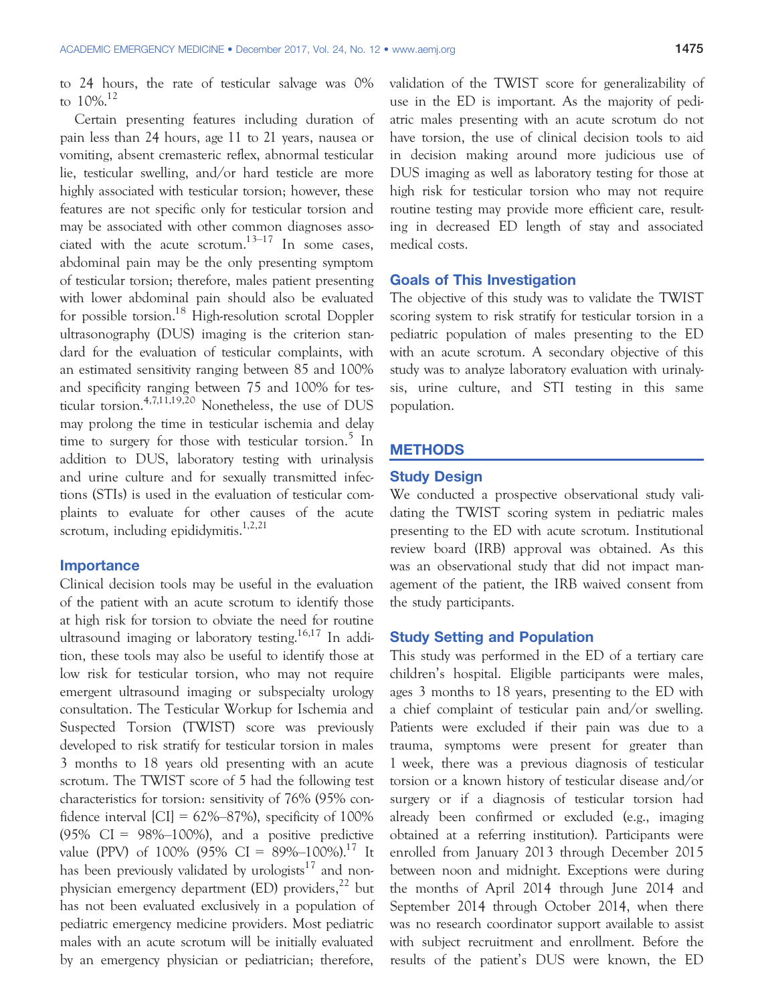to 24 hours, the rate of testicular salvage was 0% to  $10\%$ <sup>12</sup>

Certain presenting features including duration of pain less than 24 hours, age 11 to 21 years, nausea or vomiting, absent cremasteric reflex, abnormal testicular lie, testicular swelling, and/or hard testicle are more highly associated with testicular torsion; however, these features are not specific only for testicular torsion and may be associated with other common diagnoses associated with the acute scrotum. $13-17$  In some cases. abdominal pain may be the only presenting symptom of testicular torsion; therefore, males patient presenting with lower abdominal pain should also be evaluated for possible torsion.18 High-resolution scrotal Doppler ultrasonography (DUS) imaging is the criterion standard for the evaluation of testicular complaints, with an estimated sensitivity ranging between 85 and 100% and specificity ranging between 75 and 100% for testicular torsion.4,7,11,19,20 Nonetheless, the use of DUS may prolong the time in testicular ischemia and delay time to surgery for those with testicular torsion.<sup>5</sup> In addition to DUS, laboratory testing with urinalysis and urine culture and for sexually transmitted infections (STIs) is used in the evaluation of testicular complaints to evaluate for other causes of the acute scrotum, including epididymitis. $1,2,21$ 

#### Importance

Clinical decision tools may be useful in the evaluation of the patient with an acute scrotum to identify those at high risk for torsion to obviate the need for routine ultrasound imaging or laboratory testing.<sup>16,17</sup> In addition, these tools may also be useful to identify those at low risk for testicular torsion, who may not require emergent ultrasound imaging or subspecialty urology consultation. The Testicular Workup for Ischemia and Suspected Torsion (TWIST) score was previously developed to risk stratify for testicular torsion in males 3 months to 18 years old presenting with an acute scrotum. The TWIST score of 5 had the following test characteristics for torsion: sensitivity of 76% (95% confidence interval  $\text{[CI]} = 62\% - 87\%$ , specificity of 100%  $(95\% \text{ CI} = 98\% - 100\%)$ , and a positive predictive value (PPV) of 100% (95% CI =  $89\%$ -100%).<sup>17</sup> It has been previously validated by urologists $17$  and nonphysician emergency department (ED) providers, $^{22}$  but has not been evaluated exclusively in a population of pediatric emergency medicine providers. Most pediatric males with an acute scrotum will be initially evaluated by an emergency physician or pediatrician; therefore,

validation of the TWIST score for generalizability of use in the ED is important. As the majority of pediatric males presenting with an acute scrotum do not have torsion, the use of clinical decision tools to aid in decision making around more judicious use of DUS imaging as well as laboratory testing for those at high risk for testicular torsion who may not require routine testing may provide more efficient care, resulting in decreased ED length of stay and associated medical costs.

#### Goals of This Investigation

The objective of this study was to validate the TWIST scoring system to risk stratify for testicular torsion in a pediatric population of males presenting to the ED with an acute scrotum. A secondary objective of this study was to analyze laboratory evaluation with urinalysis, urine culture, and STI testing in this same population.

## **METHODS**

#### Study Design

We conducted a prospective observational study validating the TWIST scoring system in pediatric males presenting to the ED with acute scrotum. Institutional review board (IRB) approval was obtained. As this was an observational study that did not impact management of the patient, the IRB waived consent from the study participants.

#### Study Setting and Population

This study was performed in the ED of a tertiary care children's hospital. Eligible participants were males, ages 3 months to 18 years, presenting to the ED with a chief complaint of testicular pain and/or swelling. Patients were excluded if their pain was due to a trauma, symptoms were present for greater than 1 week, there was a previous diagnosis of testicular torsion or a known history of testicular disease and/or surgery or if a diagnosis of testicular torsion had already been confirmed or excluded (e.g., imaging obtained at a referring institution). Participants were enrolled from January 2013 through December 2015 between noon and midnight. Exceptions were during the months of April 2014 through June 2014 and September 2014 through October 2014, when there was no research coordinator support available to assist with subject recruitment and enrollment. Before the results of the patient's DUS were known, the ED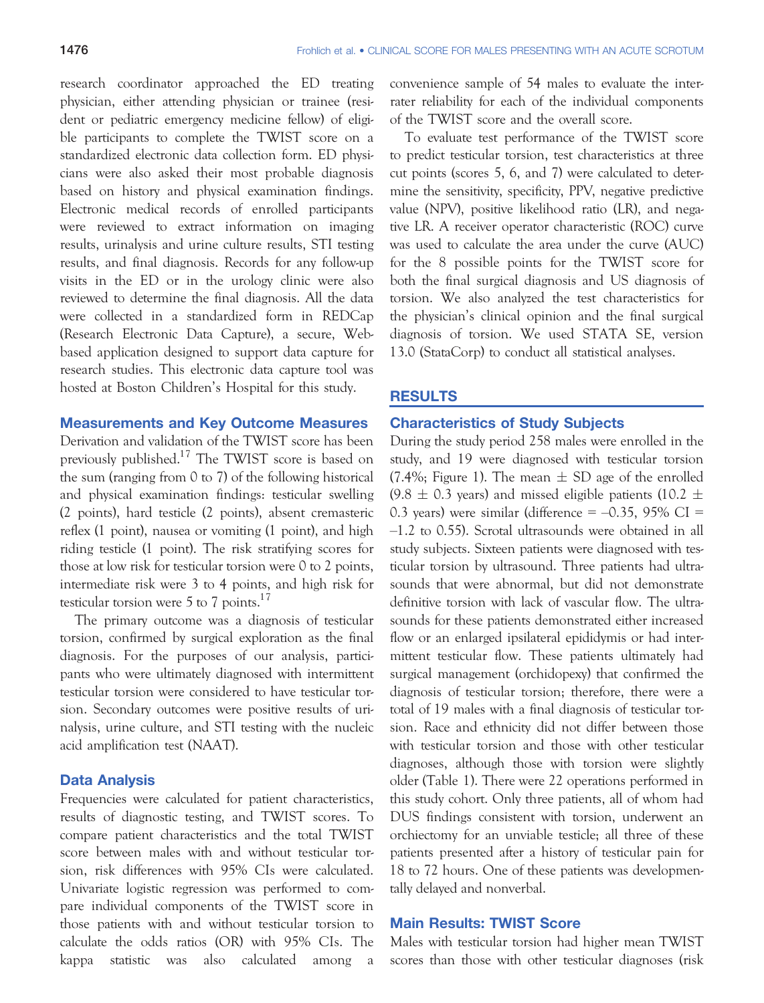research coordinator approached the ED treating physician, either attending physician or trainee (resident or pediatric emergency medicine fellow) of eligible participants to complete the TWIST score on a standardized electronic data collection form. ED physicians were also asked their most probable diagnosis based on history and physical examination findings. Electronic medical records of enrolled participants were reviewed to extract information on imaging results, urinalysis and urine culture results, STI testing results, and final diagnosis. Records for any follow-up visits in the ED or in the urology clinic were also reviewed to determine the final diagnosis. All the data were collected in a standardized form in REDCap (Research Electronic Data Capture), a secure, Webbased application designed to support data capture for research studies. This electronic data capture tool was hosted at Boston Children's Hospital for this study.

#### Measurements and Key Outcome Measures

Derivation and validation of the TWIST score has been previously published.<sup>17</sup> The TWIST score is based on the sum (ranging from 0 to 7) of the following historical and physical examination findings: testicular swelling (2 points), hard testicle (2 points), absent cremasteric reflex (1 point), nausea or vomiting (1 point), and high riding testicle (1 point). The risk stratifying scores for those at low risk for testicular torsion were 0 to 2 points, intermediate risk were 3 to 4 points, and high risk for testicular torsion were 5 to 7 points.<sup>17</sup>

The primary outcome was a diagnosis of testicular torsion, confirmed by surgical exploration as the final diagnosis. For the purposes of our analysis, participants who were ultimately diagnosed with intermittent testicular torsion were considered to have testicular torsion. Secondary outcomes were positive results of urinalysis, urine culture, and STI testing with the nucleic acid amplification test (NAAT).

#### Data Analysis

Frequencies were calculated for patient characteristics, results of diagnostic testing, and TWIST scores. To compare patient characteristics and the total TWIST score between males with and without testicular torsion, risk differences with 95% CIs were calculated. Univariate logistic regression was performed to compare individual components of the TWIST score in those patients with and without testicular torsion to calculate the odds ratios (OR) with 95% CIs. The kappa statistic was also calculated among a convenience sample of 54 males to evaluate the interrater reliability for each of the individual components of the TWIST score and the overall score.

To evaluate test performance of the TWIST score to predict testicular torsion, test characteristics at three cut points (scores 5, 6, and 7) were calculated to determine the sensitivity, specificity, PPV, negative predictive value (NPV), positive likelihood ratio (LR), and negative LR. A receiver operator characteristic (ROC) curve was used to calculate the area under the curve (AUC) for the 8 possible points for the TWIST score for both the final surgical diagnosis and US diagnosis of torsion. We also analyzed the test characteristics for the physician's clinical opinion and the final surgical diagnosis of torsion. We used STATA SE, version 13.0 (StataCorp) to conduct all statistical analyses.

#### RESULTS

#### Characteristics of Study Subjects

During the study period 258 males were enrolled in the study, and 19 were diagnosed with testicular torsion (7.4%; Figure 1). The mean  $\pm$  SD age of the enrolled  $(9.8 \pm 0.3 \text{ years})$  and missed eligible patients (10.2  $\pm$ 0.3 years) were similar (difference  $= -0.35$ , 95% CI  $=$ –1.2 to 0.55). Scrotal ultrasounds were obtained in all study subjects. Sixteen patients were diagnosed with testicular torsion by ultrasound. Three patients had ultrasounds that were abnormal, but did not demonstrate definitive torsion with lack of vascular flow. The ultrasounds for these patients demonstrated either increased flow or an enlarged ipsilateral epididymis or had intermittent testicular flow. These patients ultimately had surgical management (orchidopexy) that confirmed the diagnosis of testicular torsion; therefore, there were a total of 19 males with a final diagnosis of testicular torsion. Race and ethnicity did not differ between those with testicular torsion and those with other testicular diagnoses, although those with torsion were slightly older (Table 1). There were 22 operations performed in this study cohort. Only three patients, all of whom had DUS findings consistent with torsion, underwent an orchiectomy for an unviable testicle; all three of these patients presented after a history of testicular pain for 18 to 72 hours. One of these patients was developmentally delayed and nonverbal.

#### Main Results: TWIST Score

Males with testicular torsion had higher mean TWIST scores than those with other testicular diagnoses (risk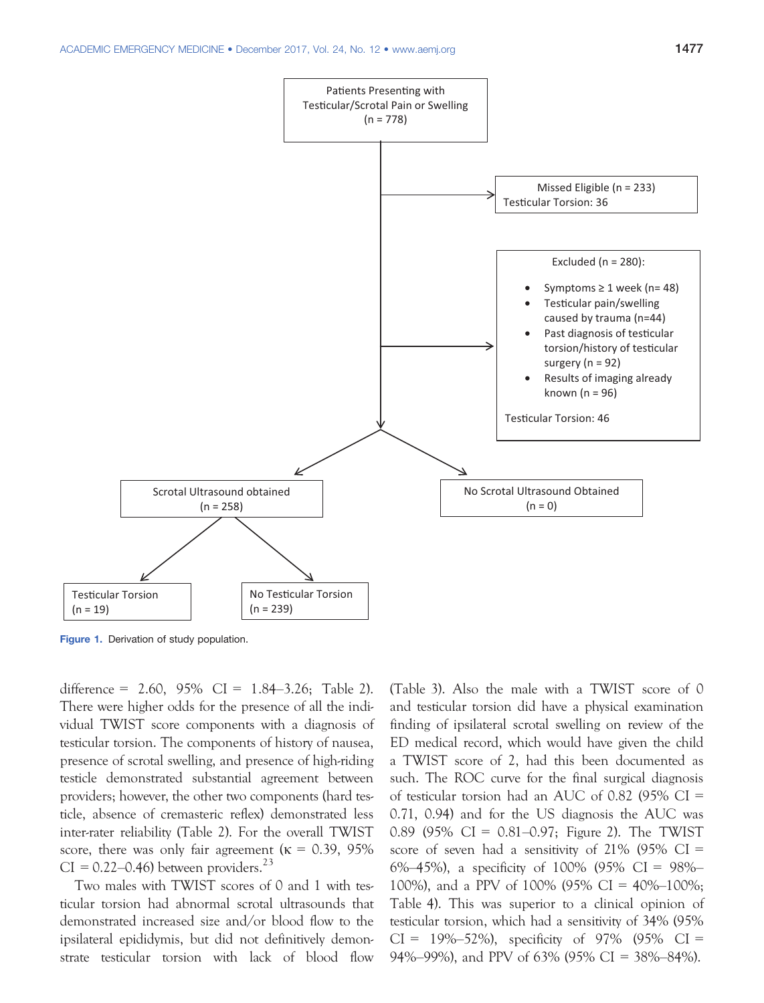

Figure 1. Derivation of study population.

difference =  $2.60, 95\%$  CI =  $1.84-3.26$ ; Table 2). There were higher odds for the presence of all the individual TWIST score components with a diagnosis of testicular torsion. The components of history of nausea, presence of scrotal swelling, and presence of high-riding testicle demonstrated substantial agreement between providers; however, the other two components (hard testicle, absence of cremasteric reflex) demonstrated less inter-rater reliability (Table 2). For the overall TWIST score, there was only fair agreement ( $\kappa = 0.39, 95\%$ )  $CI = 0.22{\text -}0.46$ ) between providers.<sup>23</sup>

Two males with TWIST scores of 0 and 1 with testicular torsion had abnormal scrotal ultrasounds that demonstrated increased size and/or blood flow to the ipsilateral epididymis, but did not definitively demonstrate testicular torsion with lack of blood flow (Table 3). Also the male with a TWIST score of 0 and testicular torsion did have a physical examination finding of ipsilateral scrotal swelling on review of the ED medical record, which would have given the child a TWIST score of 2, had this been documented as such. The ROC curve for the final surgical diagnosis of testicular torsion had an AUC of 0.82 (95% CI = 0.71, 0.94) and for the US diagnosis the AUC was 0.89 (95% CI = 0.81–0.97; Figure 2). The TWIST score of seven had a sensitivity of  $21\%$  (95% CI = 6%–45%), a specificity of 100% (95% CI = 98%– 100%), and a PPV of 100% (95% CI = 40%–100%; Table 4). This was superior to a clinical opinion of testicular torsion, which had a sensitivity of 34% (95%  $CI = 19\% - 52\%$ , specificity of 97% (95% CI = 94%–99%), and PPV of 63% (95% CI = 38%–84%).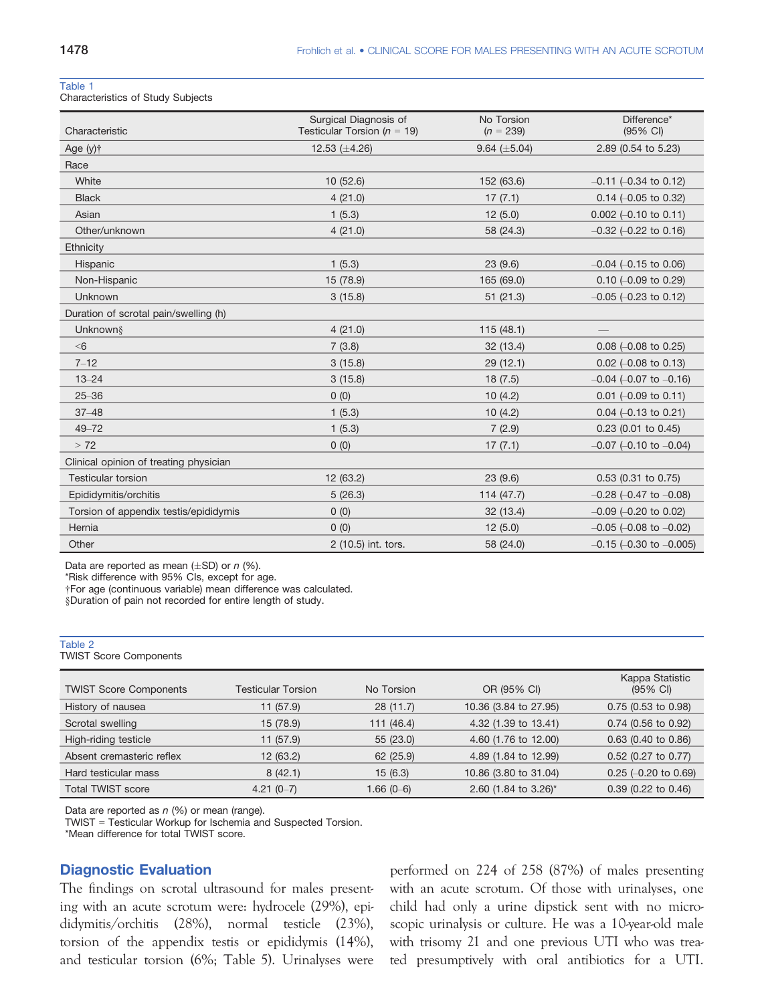#### Table 1

Characteristics of Study Subjects

| Characteristic                         | Surgical Diagnosis of<br>Testicular Torsion ( $n = 19$ ) | No Torsion<br>$(n = 239)$ | Difference*<br>(95% CI)         |
|----------------------------------------|----------------------------------------------------------|---------------------------|---------------------------------|
| Age (y) <sup>+</sup>                   | 12.53 $(\pm 4.26)$                                       | 9.64 $(\pm 5.04)$         | 2.89 (0.54 to 5.23)             |
| Race                                   |                                                          |                           |                                 |
| White                                  | 10(52.6)                                                 | 152 (63.6)                | $-0.11$ ( $-0.34$ to 0.12)      |
| <b>Black</b>                           | 4(21.0)                                                  | 17(7.1)                   | $0.14$ (-0.05 to 0.32)          |
| Asian                                  | 1(5.3)                                                   | 12(5.0)                   | $0.002$ (-0.10 to 0.11)         |
| Other/unknown                          | 4(21.0)                                                  | 58 (24.3)                 | $-0.32$ ( $-0.22$ to 0.16)      |
| Ethnicity                              |                                                          |                           |                                 |
| Hispanic                               | 1(5.3)                                                   | 23(9.6)                   | $-0.04$ ( $-0.15$ to 0.06)      |
| Non-Hispanic                           | 15 (78.9)                                                | 165 (69.0)                | $0.10$ (-0.09 to 0.29)          |
| Unknown                                | 3(15.8)                                                  | 51(21.3)                  | $-0.05$ ( $-0.23$ to 0.12)      |
| Duration of scrotal pain/swelling (h)  |                                                          |                           |                                 |
| Unknown§                               | 4(21.0)                                                  | 115(48.1)                 |                                 |
| < 6                                    | 7(3.8)                                                   | 32(13.4)                  | $0.08$ (-0.08 to 0.25)          |
| $7 - 12$                               | 3(15.8)                                                  | 29(12.1)                  | $0.02$ (-0.08 to 0.13)          |
| $13 - 24$                              | 3(15.8)                                                  | 18(7.5)                   | $-0.04$ ( $-0.07$ to $-0.16$ )  |
| $25 - 36$                              | 0(0)                                                     | 10(4.2)                   | $0.01$ (-0.09 to 0.11)          |
| $37 - 48$                              | 1(5.3)                                                   | 10(4.2)                   | $0.04$ (-0.13 to 0.21)          |
| $49 - 72$                              | 1(5.3)                                                   | 7(2.9)                    | $0.23$ (0.01 to 0.45)           |
| > 72                                   | 0(0)                                                     | 17(7.1)                   | $-0.07$ (-0.10 to $-0.04$ )     |
| Clinical opinion of treating physician |                                                          |                           |                                 |
| <b>Testicular torsion</b>              | 12 (63.2)                                                | 23(9.6)                   | 0.53 (0.31 to 0.75)             |
| Epididymitis/orchitis                  | 5(26.3)                                                  | 114(47.7)                 | $-0.28$ (-0.47 to $-0.08$ )     |
| Torsion of appendix testis/epididymis  | 0(0)                                                     | 32 (13.4)                 | $-0.09$ ( $-0.20$ to 0.02)      |
| Hernia                                 | 0(0)                                                     | 12(5.0)                   | $-0.05$ ( $-0.08$ to $-0.02$ )  |
| Other                                  | 2 (10.5) int. tors.                                      | 58 (24.0)                 | $-0.15$ ( $-0.30$ to $-0.005$ ) |

Data are reported as mean  $(\pm SD)$  or n (%).

\*Risk difference with 95% CIs, except for age.

†For age (continuous variable) mean difference was calculated.

§Duration of pain not recorded for entire length of study.

# Table 2 TWIST Score Components Kappa Statistic

| <b>TWIST Score Components</b> | <b>Testicular Torsion</b> | No Torsion  | OR (95% CI)           | $(95% \text{ Cl})$     |
|-------------------------------|---------------------------|-------------|-----------------------|------------------------|
| History of nausea             | 11 (57.9)                 | 28(11.7)    | 10.36 (3.84 to 27.95) | $0.75$ (0.53 to 0.98)  |
| Scrotal swelling              | 15 (78.9)                 | 111(46.4)   | 4.32 (1.39 to 13.41)  | $0.74$ (0.56 to 0.92)  |
| High-riding testicle          | 11 (57.9)                 | 55(23.0)    | 4.60 (1.76 to 12.00)  | $0.63$ (0.40 to 0.86)  |
| Absent cremasteric reflex     | 12(63.2)                  | 62 (25.9)   | 4.89 (1.84 to 12.99)  | 0.52 (0.27 to 0.77)    |
| Hard testicular mass          | 8(42.1)                   | 15(6.3)     | 10.86 (3.80 to 31.04) | $0.25$ (-0.20 to 0.69) |
| <b>Total TWIST score</b>      | $4.21(0-7)$               | $1.66(0-6)$ | 2.60 (1.84 to 3.26)*  | $0.39$ (0.22 to 0.46)  |

Data are reported as  $n$  (%) or mean (range).

TWIST = Testicular Workup for Ischemia and Suspected Torsion.

\*Mean difference for total TWIST score.

#### Diagnostic Evaluation

The findings on scrotal ultrasound for males presenting with an acute scrotum were: hydrocele (29%), epididymitis/orchitis (28%), normal testicle (23%), torsion of the appendix testis or epididymis (14%), and testicular torsion (6%; Table 5). Urinalyses were performed on 224 of 258 (87%) of males presenting with an acute scrotum. Of those with urinalyses, one child had only a urine dipstick sent with no microscopic urinalysis or culture. He was a 10-year-old male with trisomy 21 and one previous UTI who was treated presumptively with oral antibiotics for a UTI.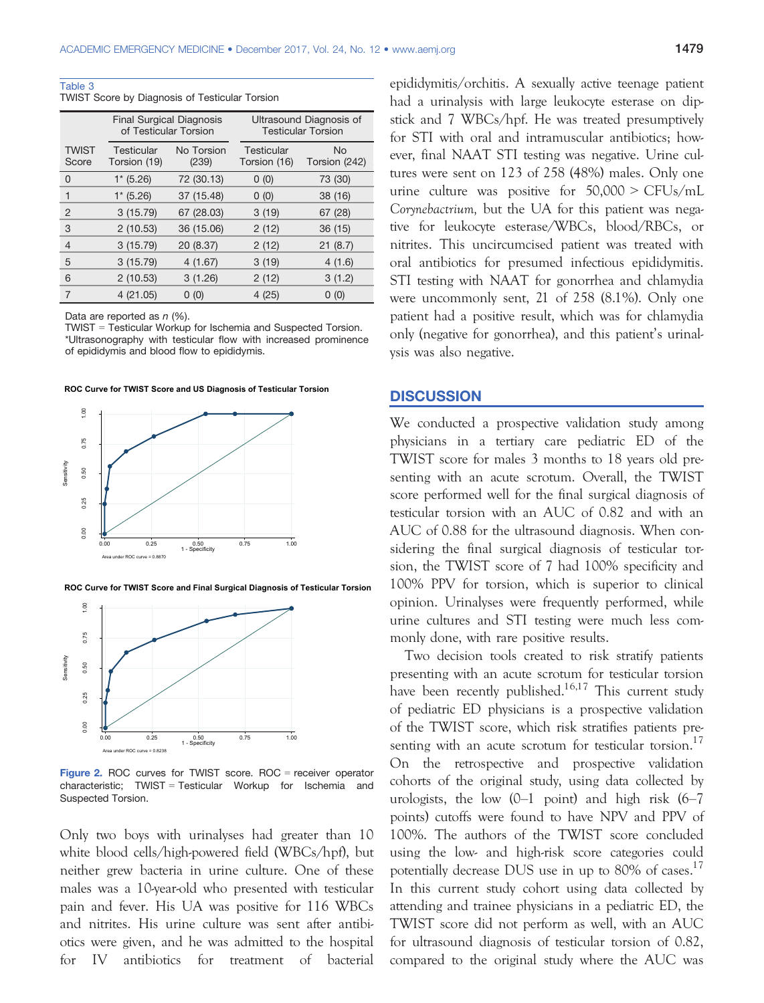Table 3

| TWIST Score by Diagnosis of Testicular Torsion |  |
|------------------------------------------------|--|
|------------------------------------------------|--|

|                       | <b>Final Surgical Diagnosis</b><br>of Testicular Torsion |                     | Ultrasound Diagnosis of<br><b>Testicular Torsion</b> |                            |  |
|-----------------------|----------------------------------------------------------|---------------------|------------------------------------------------------|----------------------------|--|
| <b>TWIST</b><br>Score | Testicular<br>Torsion (19)                               | No Torsion<br>(239) | Testicular<br>Torsion (16)                           | <b>No</b><br>Torsion (242) |  |
| 0                     | $1* (5.26)$                                              | 72 (30.13)          | 0(0)                                                 | 73 (30)                    |  |
|                       | $1* (5.26)$                                              | 37 (15.48)          | 0(0)                                                 | 38 (16)                    |  |
| 2                     | 3(15.79)                                                 | 67 (28.03)          | 3(19)                                                | 67 (28)                    |  |
| 3                     | 2(10.53)                                                 | 36 (15.06)          | 2(12)                                                | 36 (15)                    |  |
| 4                     | 3(15.79)                                                 | 20 (8.37)           | 2(12)                                                | 21(8.7)                    |  |
| 5                     | 3 (15.79)                                                | 4(1.67)             | 3(19)                                                | 4(1.6)                     |  |
| 6                     | 2(10.53)                                                 | 3(1.26)             | 2(12)                                                | 3(1.2)                     |  |
| 7                     | 4(21.05)                                                 | 0(0)                | 4(25)                                                | 0(0)                       |  |

Data are reported as  $n$  (%).

TWIST = Testicular Workup for Ischemia and Suspected Torsion. \*Ultrasonography with testicular flow with increased prominence of epididymis and blood flow to epididymis.

**ROC Curve for TWIST Score and US Diagnosis of Testicular Torsion** 



**ROC Curve for TWIST Score and Final Surgical Diagnosis of Testicular Torsion**



Figure 2. ROC curves for TWIST score. ROC = receiver operator characteristic; TWIST = Testicular Workup for Ischemia and Suspected Torsion.

Only two boys with urinalyses had greater than 10 white blood cells/high-powered field (WBCs/hpf), but neither grew bacteria in urine culture. One of these males was a 10-year-old who presented with testicular pain and fever. His UA was positive for 116 WBCs and nitrites. His urine culture was sent after antibiotics were given, and he was admitted to the hospital for IV antibiotics for treatment of bacterial epididymitis/orchitis. A sexually active teenage patient had a urinalysis with large leukocyte esterase on dipstick and 7 WBCs/hpf. He was treated presumptively for STI with oral and intramuscular antibiotics; however, final NAAT STI testing was negative. Urine cultures were sent on 123 of 258 (48%) males. Only one urine culture was positive for  $50,000 > CFUs/mL$ Corynebactrium, but the UA for this patient was negative for leukocyte esterase/WBCs, blood/RBCs, or nitrites. This uncircumcised patient was treated with oral antibiotics for presumed infectious epididymitis. STI testing with NAAT for gonorrhea and chlamydia were uncommonly sent, 21 of 258 (8.1%). Only one patient had a positive result, which was for chlamydia only (negative for gonorrhea), and this patient's urinalysis was also negative.

#### **DISCUSSION**

We conducted a prospective validation study among physicians in a tertiary care pediatric ED of the TWIST score for males 3 months to 18 years old presenting with an acute scrotum. Overall, the TWIST score performed well for the final surgical diagnosis of testicular torsion with an AUC of 0.82 and with an AUC of 0.88 for the ultrasound diagnosis. When considering the final surgical diagnosis of testicular torsion, the TWIST score of 7 had 100% specificity and 100% PPV for torsion, which is superior to clinical opinion. Urinalyses were frequently performed, while urine cultures and STI testing were much less commonly done, with rare positive results.

Two decision tools created to risk stratify patients presenting with an acute scrotum for testicular torsion have been recently published.<sup>16,17</sup> This current study of pediatric ED physicians is a prospective validation of the TWIST score, which risk stratifies patients presenting with an acute scrotum for testicular torsion.<sup>17</sup> On the retrospective and prospective validation cohorts of the original study, using data collected by urologists, the low  $(0-1)$  point) and high risk  $(6-7)$ points) cutoffs were found to have NPV and PPV of 100%. The authors of the TWIST score concluded using the low- and high-risk score categories could potentially decrease DUS use in up to  $80\%$  of cases.<sup>17</sup> In this current study cohort using data collected by attending and trainee physicians in a pediatric ED, the TWIST score did not perform as well, with an AUC for ultrasound diagnosis of testicular torsion of 0.82, compared to the original study where the AUC was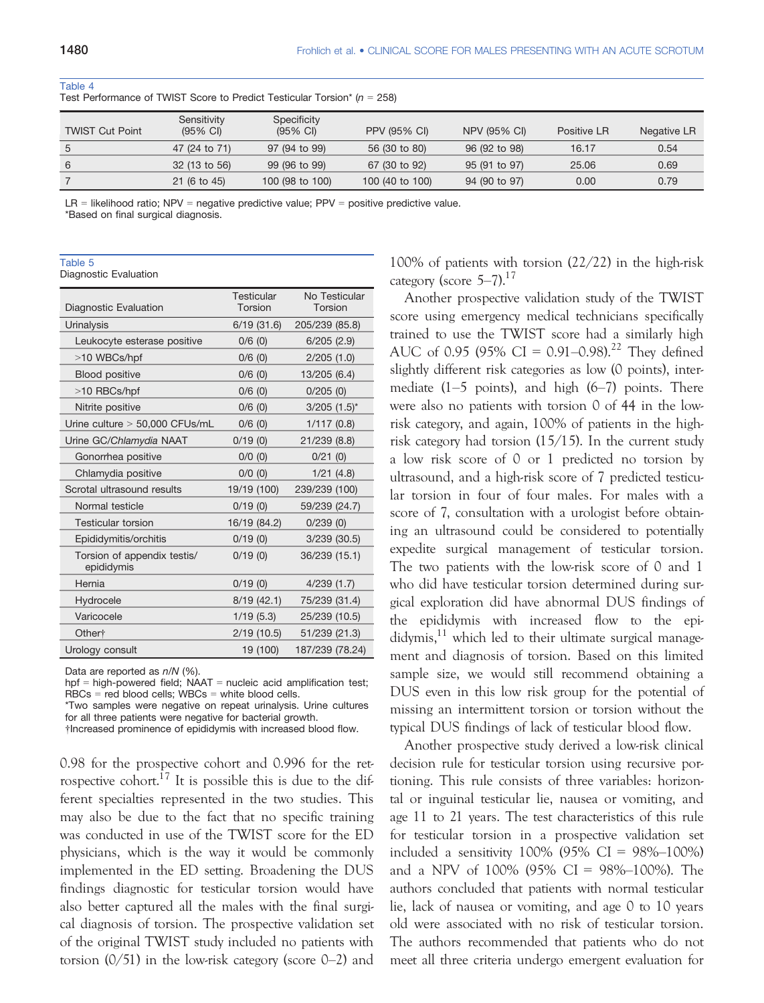| <b>TWIST Cut Point</b> | Sensitivity<br>$(95% \text{ Cl})$ | Specificity<br>$(95% \text{ Cl})$ | <b>PPV (95% CI)</b> | <b>NPV (95% CI)</b> | Positive LR | Negative LR |
|------------------------|-----------------------------------|-----------------------------------|---------------------|---------------------|-------------|-------------|
| 5                      | 47 (24 to 71)                     | 97 (94 to 99)                     | 56 (30 to 80)       | 96 (92 to 98)       | 16.17       | 0.54        |
| 6                      | 32 (13 to 56)                     | 99 (96 to 99)                     | 67 (30 to 92)       | 95 (91 to 97)       | 25.06       | 0.69        |
|                        | $21(6 \text{ to } 45)$            | 100 (98 to 100)                   | 100 (40 to 100)     | 94 (90 to 97)       | 0.00        | 0.79        |

#### Table 4

Test Performance of TWIST Score to Predict Testicular Torsion\* ( $n = 258$ )

 $LR =$  likelihood ratio; NPV = negative predictive value; PPV = positive predictive value.

\*Based on final surgical diagnosis.

#### Table 5

Diagnostic Evaluation

| Diagnostic Evaluation                     | <b>Testicular</b><br>Torsion | No Testicular<br>Torsion |
|-------------------------------------------|------------------------------|--------------------------|
| Urinalysis                                | 6/19(31.6)                   | 205/239 (85.8)           |
| Leukocyte esterase positive               | 0/6(0)                       | 6/205(2.9)               |
| >10 WBCs/hpf                              | 0/6(0)                       | 2/205(1.0)               |
| <b>Blood positive</b>                     | $0/6$ (0)                    | 13/205 (6.4)             |
| >10 RBCs/hpf                              | $0/6$ (0)                    | 0/205(0)                 |
| Nitrite positive                          | 0/6(0)                       | $3/205$ $(1.5)^*$        |
| Urine culture $> 50,000$ CFUs/mL          | $0/6$ (0)                    | 1/117(0.8)               |
| Urine GC/Chlamydia NAAT                   | 0/19(0)                      | 21/239 (8.8)             |
| Gonorrhea positive                        | $0/0$ $(0)$                  | 0/21(0)                  |
| Chlamydia positive                        | $0/0$ $(0)$                  | 1/21(4.8)                |
| Scrotal ultrasound results                | 19/19 (100)                  | 239/239 (100)            |
| Normal testicle                           | 0/19(0)                      | 59/239 (24.7)            |
| <b>Testicular torsion</b>                 | 16/19 (84.2)                 | 0/239(0)                 |
| Epididymitis/orchitis                     | 0/19(0)                      | $3/239$ $(30.5)$         |
| Torsion of appendix testis/<br>epididymis | 0/19(0)                      | 36/239 (15.1)            |
| Hernia                                    | 0/19(0)                      | 4/239(1.7)               |
| Hydrocele                                 | 8/19 (42.1)                  | 75/239 (31.4)            |
| Varicocele                                | 1/19(5.3)                    | 25/239 (10.5)            |
| Other <sup>+</sup>                        | 2/19(10.5)                   | 51/239 (21.3)            |
| Urology consult                           | 19 (100)                     | 187/239 (78.24)          |

Data are reported as  $n/N$  (%).

hpf = high-powered field;  $N_AAT$  = nucleic acid amplification test; RBCs = red blood cells; WBCs = white blood cells.

\*Two samples were negative on repeat urinalysis. Urine cultures for all three patients were negative for bacterial growth.

†Increased prominence of epididymis with increased blood flow.

0.98 for the prospective cohort and 0.996 for the retrospective cohort.<sup>17</sup> It is possible this is due to the different specialties represented in the two studies. This may also be due to the fact that no specific training was conducted in use of the TWIST score for the ED physicians, which is the way it would be commonly implemented in the ED setting. Broadening the DUS findings diagnostic for testicular torsion would have also better captured all the males with the final surgical diagnosis of torsion. The prospective validation set of the original TWIST study included no patients with torsion  $(0/51)$  in the low-risk category (score 0–2) and 100% of patients with torsion (22/22) in the high-risk category (score  $5-7$ ).<sup>17</sup>

Another prospective validation study of the TWIST score using emergency medical technicians specifically trained to use the TWIST score had a similarly high AUC of 0.95 (95% CI = 0.91–0.98).<sup>22</sup> They defined slightly different risk categories as low (0 points), intermediate  $(1-5 \text{ points})$ , and high  $(6-7)$  points. There were also no patients with torsion 0 of 44 in the lowrisk category, and again, 100% of patients in the highrisk category had torsion (15/15). In the current study a low risk score of 0 or 1 predicted no torsion by ultrasound, and a high-risk score of 7 predicted testicular torsion in four of four males. For males with a score of 7, consultation with a urologist before obtaining an ultrasound could be considered to potentially expedite surgical management of testicular torsion. The two patients with the low-risk score of 0 and 1 who did have testicular torsion determined during surgical exploration did have abnormal DUS findings of the epididymis with increased flow to the epididymis, $11$  which led to their ultimate surgical management and diagnosis of torsion. Based on this limited sample size, we would still recommend obtaining a DUS even in this low risk group for the potential of missing an intermittent torsion or torsion without the typical DUS findings of lack of testicular blood flow.

Another prospective study derived a low-risk clinical decision rule for testicular torsion using recursive portioning. This rule consists of three variables: horizontal or inguinal testicular lie, nausea or vomiting, and age 11 to 21 years. The test characteristics of this rule for testicular torsion in a prospective validation set included a sensitivity 100% (95% CI =  $98\% - 100\%$ ) and a NPV of 100% (95% CI =  $98\%$ -100%). The authors concluded that patients with normal testicular lie, lack of nausea or vomiting, and age 0 to 10 years old were associated with no risk of testicular torsion. The authors recommended that patients who do not meet all three criteria undergo emergent evaluation for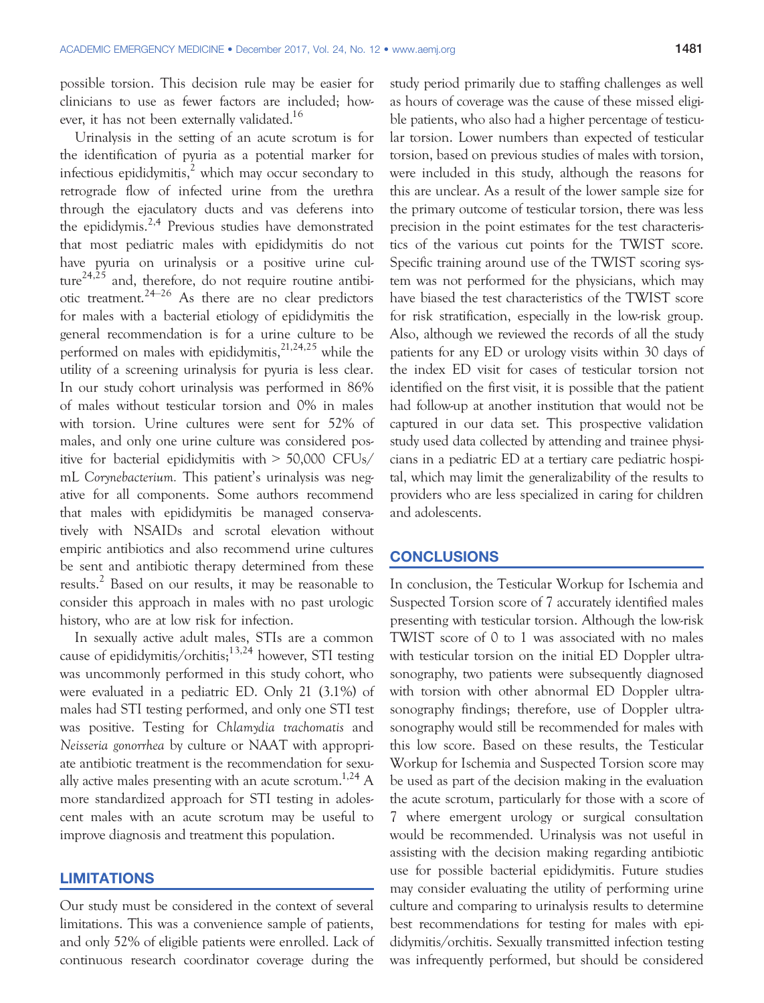possible torsion. This decision rule may be easier for clinicians to use as fewer factors are included; however, it has not been externally validated.<sup>16</sup>

Urinalysis in the setting of an acute scrotum is for the identification of pyuria as a potential marker for infectious epididymitis, $\lambda$ <sup>2</sup> which may occur secondary to retrograde flow of infected urine from the urethra through the ejaculatory ducts and vas deferens into the epididymis.<sup>2,4</sup> Previous studies have demonstrated that most pediatric males with epididymitis do not have pyuria on urinalysis or a positive urine culture<sup>24,25</sup> and, therefore, do not require routine antibiotic treatment.<sup>24–26</sup> As there are no clear predictors for males with a bacterial etiology of epididymitis the general recommendation is for a urine culture to be performed on males with epididymitis, $2^{1,24,25}$  while the utility of a screening urinalysis for pyuria is less clear. In our study cohort urinalysis was performed in 86% of males without testicular torsion and 0% in males with torsion. Urine cultures were sent for 52% of males, and only one urine culture was considered positive for bacterial epididymitis with > 50,000 CFUs/ mL Corynebacterium. This patient's urinalysis was negative for all components. Some authors recommend that males with epididymitis be managed conservatively with NSAIDs and scrotal elevation without empiric antibiotics and also recommend urine cultures be sent and antibiotic therapy determined from these results.<sup>2</sup> Based on our results, it may be reasonable to consider this approach in males with no past urologic history, who are at low risk for infection.

In sexually active adult males, STIs are a common cause of epididymitis/orchitis; $13,24$  however, STI testing was uncommonly performed in this study cohort, who were evaluated in a pediatric ED. Only 21 (3.1%) of males had STI testing performed, and only one STI test was positive. Testing for Chlamydia trachomatis and Neisseria gonorrhea by culture or NAAT with appropriate antibiotic treatment is the recommendation for sexually active males presenting with an acute scrotum.<sup>1,24</sup> A more standardized approach for STI testing in adolescent males with an acute scrotum may be useful to improve diagnosis and treatment this population.

#### LIMITATIONS

Our study must be considered in the context of several limitations. This was a convenience sample of patients, and only 52% of eligible patients were enrolled. Lack of continuous research coordinator coverage during the

study period primarily due to staffing challenges as well as hours of coverage was the cause of these missed eligible patients, who also had a higher percentage of testicular torsion. Lower numbers than expected of testicular torsion, based on previous studies of males with torsion, were included in this study, although the reasons for this are unclear. As a result of the lower sample size for the primary outcome of testicular torsion, there was less precision in the point estimates for the test characteristics of the various cut points for the TWIST score. Specific training around use of the TWIST scoring system was not performed for the physicians, which may have biased the test characteristics of the TWIST score for risk stratification, especially in the low-risk group. Also, although we reviewed the records of all the study patients for any ED or urology visits within 30 days of the index ED visit for cases of testicular torsion not identified on the first visit, it is possible that the patient had follow-up at another institution that would not be captured in our data set. This prospective validation study used data collected by attending and trainee physicians in a pediatric ED at a tertiary care pediatric hospital, which may limit the generalizability of the results to providers who are less specialized in caring for children and adolescents.

#### **CONCLUSIONS**

In conclusion, the Testicular Workup for Ischemia and Suspected Torsion score of 7 accurately identified males presenting with testicular torsion. Although the low-risk TWIST score of 0 to 1 was associated with no males with testicular torsion on the initial ED Doppler ultrasonography, two patients were subsequently diagnosed with torsion with other abnormal ED Doppler ultrasonography findings; therefore, use of Doppler ultrasonography would still be recommended for males with this low score. Based on these results, the Testicular Workup for Ischemia and Suspected Torsion score may be used as part of the decision making in the evaluation the acute scrotum, particularly for those with a score of 7 where emergent urology or surgical consultation would be recommended. Urinalysis was not useful in assisting with the decision making regarding antibiotic use for possible bacterial epididymitis. Future studies may consider evaluating the utility of performing urine culture and comparing to urinalysis results to determine best recommendations for testing for males with epididymitis/orchitis. Sexually transmitted infection testing was infrequently performed, but should be considered